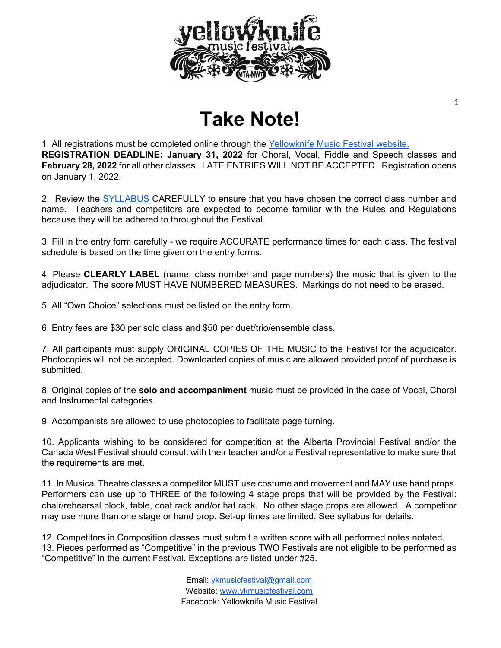

# **Take Note!**

1. All registrations must be completed online through the [Yellowknife Music](https://ykmusicfestival.com/festival/register/) [Festival website.](https://ykmusicfestival.com/festival/register/) **REGISTRATION DEADLINE: January 31, 2022** for Choral, Vocal, Fiddle and Speech classes and **February 28, 2022** for all other classes. LATE ENTRIES WILL NOT BE ACCEPTED. Registration opens on January 1, 2022.

2. Review the [SYLLABUS](https://ykmusicfestival.com/festival/information-and-syllabus/) CAREFULLY to ensure that you have chosen the correct class number and name. Teachers and competitors are expected to become familiar with the Rules and Regulations because they will be adhered to throughout the Festival.

3. Fill in the entry form carefully - we require ACCURATE performance times for each class. The festival schedule is based on the time given on the entry forms.

4. Please **CLEARLY LABEL** (name, class number and page numbers) the music that is given to the adjudicator. The score MUST HAVE NUMBERED MEASURES. Markings do not need to be erased.

5. All "Own Choice" selections must be listed on the entry form.

6. Entry fees are \$30 per solo class and \$50 per duet/trio/ensemble class.

7. All participants must supply ORIGINAL COPIES OF THE MUSIC to the Festival for the adjudicator. Photocopies will not be accepted. Downloaded copies of music are allowed provided proof of purchase is submitted.

8. Original copies of the **solo and accompaniment** music must be provided in the case of Vocal, Choral and Instrumental categories.

9. Accompanists are allowed to use photocopies to facilitate page turning.

10. Applicants wishing to be considered for competition at the Alberta Provincial Festival and/or the Canada West Festival should consult with their teacher and/or a Festival representative to make sure that the requirements are met.

11. In Musical Theatre classes a competitor MUST use costume and movement and MAY use hand props. Performers can use up to THREE of the following 4 stage props that will be provided by the Festival: chair/rehearsal block, table, coat rack and/or hat rack. No other stage props are allowed. A competitor may use more than one stage or hand prop. Set-up times are limited. See syllabus for details.

12. Competitors in Composition classes must submit a written score with all performed notes notated. 13. Pieces performed as "Competitive" in the previous TWO Festivals are not eligible to be performed as "Competitive" in the current Festival. Exceptions are listed under #25.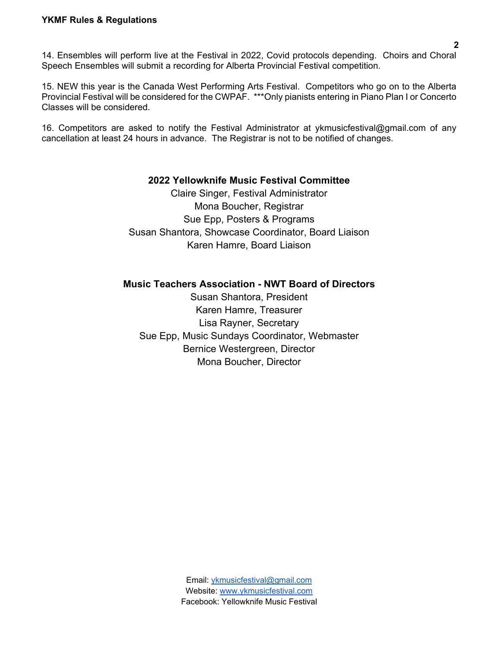15. NEW this year is the Canada West Performing Arts Festival. Competitors who go on to the Alberta Provincial Festival will be considered for the CWPAF. \*\*\*Only pianists entering in Piano Plan I or Concerto Classes will be considered.

16. Competitors are asked to notify the Festival Administrator at [ykmusicfestival@gmail.com o](mailto:ykmusicfestival@gmail.com)f any cancellation at least 24 hours in advance. The Registrar is not to be notified of changes.

#### **2022 Yellowknife Music Festival Committee**

Claire Singer, Festival Administrator Mona Boucher, Registrar Sue Epp, Posters & Programs Susan Shantora, Showcase Coordinator, Board Liaison Karen Hamre, Board Liaison

#### **Music Teachers Association - NWT Board of Directors**

Susan Shantora, President Karen Hamre, Treasurer Lisa Rayner, Secretary Sue Epp, Music Sundays Coordinator, Webmaster Bernice Westergreen, Director Mona Boucher, Director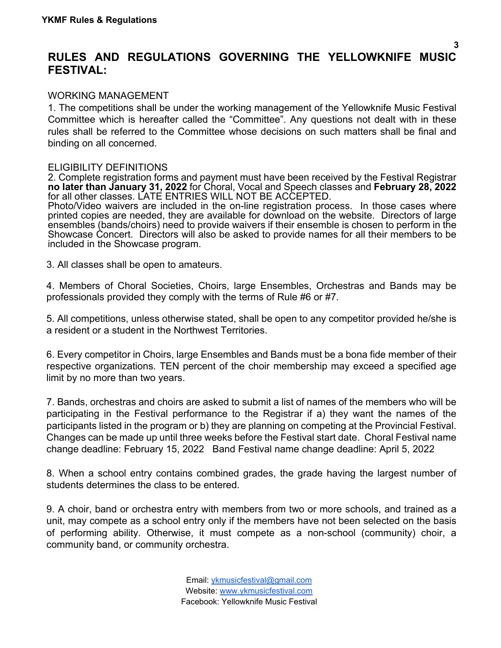#### **RULES AND REGULATIONS GOVERNING THE YELLOWKNIFE MUSIC FESTIVAL:**

**3**

#### WORKING MANAGEMENT

1. The competitions shall be under the working management of the Yellowknife Music Festival Committee which is hereafter called the "Committee". Any questions not dealt with in these rules shall be referred to the Committee whose decisions on such matters shall be final and binding on all concerned.

#### ELIGIBILITY DEFINITIONS

2. Complete registration forms and payment must have been received by the Festival Registrar **no later than January 31, 2022** for Choral, Vocal and Speech classes and **February 28, 2022**  for all other classes. LATE ENTRIES WILL NOT BE ACCEPTED.

Photo/Video waivers are included in the on-line registration process. In those cases where printed copies are needed, they are available for download on the website. Directors of large ensembles (bands/choirs) need to provide waivers if their ensemble is chosen to perform in the Showcase Concert. Directors will also be asked to provide names for all their members to be included in the Showcase program.

3. All classes shall be open to amateurs.

4. Members of Choral Societies, Choirs, large Ensembles, Orchestras and Bands may be professionals provided they comply with the terms of Rule #6 or #7.

5. All competitions, unless otherwise stated, shall be open to any competitor provided he/she is a resident or a student in the Northwest Territories.

6. Every competitor in Choirs, large Ensembles and Bands must be a bona fide member of their respective organizations. TEN percent of the choir membership may exceed a specified age limit by no more than two years.

7. Bands, orchestras and choirs are asked to submit a list of names of the members who will be participating in the Festival performance to the Registrar if a) they want the names of the participants listed in the program or b) they are planning on competing at the Provincial Festival. Changes can be made up until three weeks before the Festival start date. Choral Festival name change deadline: February 15, 2022 Band Festival name change deadline: April 5, 2022

8. When a school entry contains combined grades, the grade having the largest number of students determines the class to be entered.

9. A choir, band or orchestra entry with members from two or more schools, and trained as a unit, may compete as a school entry only if the members have not been selected on the basis of performing ability. Otherwise, it must compete as a non-school (community) choir, a community band, or community orchestra.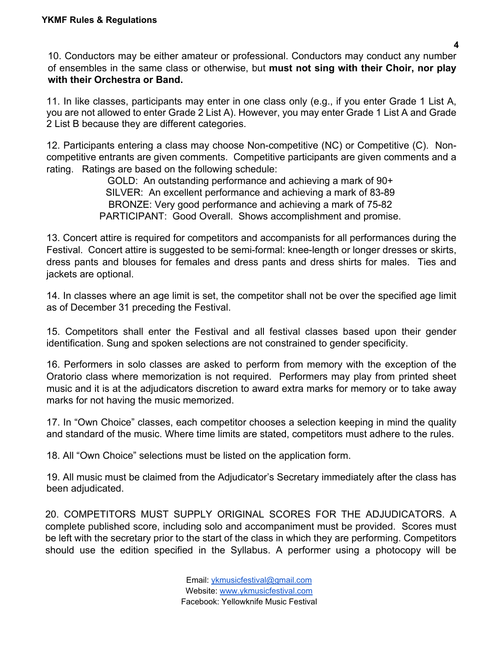10. Conductors may be either amateur or professional. Conductors may conduct any number of ensembles in the same class or otherwise, but **must not sing with their Choir, nor play with their Orchestra or Band.**

11. In like classes, participants may enter in one class only (e.g., if you enter Grade 1 List A, you are not allowed to enter Grade 2 List A). However, you may enter Grade 1 List A and Grade 2 List B because they are different categories.

12. Participants entering a class may choose Non-competitive (NC) or Competitive (C). Noncompetitive entrants are given comments. Competitive participants are given comments and a rating. Ratings are based on the following schedule:

> GOLD: An outstanding performance and achieving a mark of 90+ SILVER: An excellent performance and achieving a mark of 83-89 BRONZE: Very good performance and achieving a mark of 75-82 PARTICIPANT: Good Overall. Shows accomplishment and promise.

13. Concert attire is required for competitors and accompanists for all performances during the Festival. Concert attire is suggested to be semi-formal: knee-length or longer dresses or skirts, dress pants and blouses for females and dress pants and dress shirts for males. Ties and jackets are optional.

14. In classes where an age limit is set, the competitor shall not be over the specified age limit as of December 31 preceding the Festival.

15. Competitors shall enter the Festival and all festival classes based upon their gender identification. Sung and spoken selections are not constrained to gender specificity.

16. Performers in solo classes are asked to perform from memory with the exception of the Oratorio class where memorization is not required. Performers may play from printed sheet music and it is at the adjudicators discretion to award extra marks for memory or to take away marks for not having the music memorized.

17. In "Own Choice" classes, each competitor chooses a selection keeping in mind the quality and standard of the music. Where time limits are stated, competitors must adhere to the rules.

18. All "Own Choice" selections must be listed on the application form.

19. All music must be claimed from the Adjudicator's Secretary immediately after the class has been adjudicated.

20. COMPETITORS MUST SUPPLY ORIGINAL SCORES FOR THE ADJUDICATORS. A complete published score, including solo and accompaniment must be provided. Scores must be left with the secretary prior to the start of the class in which they are performing. Competitors should use the edition specified in the Syllabus. A performer using a photocopy will be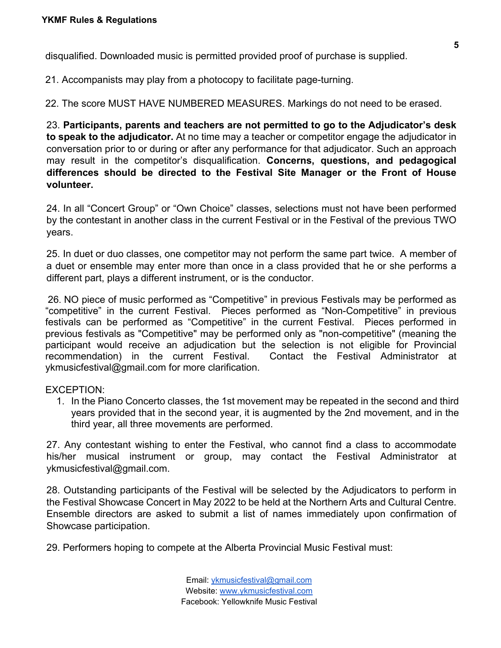disqualified. Downloaded music is permitted provided proof of purchase is supplied.

21. Accompanists may play from a photocopy to facilitate page-turning.

22. The score MUST HAVE NUMBERED MEASURES. Markings do not need to be erased.

23. **Participants, parents and teachers are not permitted to go to the Adjudicator's desk to speak to the adjudicator.** At no time may a teacher or competitor engage the adjudicator in conversation prior to or during or after any performance for that adjudicator. Such an approach may result in the competitor's disqualification. **Concerns, questions, and pedagogical differences should be directed to the Festival Site Manager or the Front of House volunteer.**

24. In all "Concert Group" or "Own Choice" classes, selections must not have been performed by the contestant in another class in the current Festival or in the Festival of the previous TWO years.

25. In duet or duo classes, one competitor may not perform the same part twice. A member of a duet or ensemble may enter more than once in a class provided that he or she performs a different part, plays a different instrument, or is the conductor.

26. NO piece of music performed as "Competitive" in previous Festivals may be performed as "competitive" in the current Festival. Pieces performed as "Non-Competitive" in previous festivals can be performed as "Competitive" in the current Festival. Pieces performed in previous festivals as "Competitive" may be performed only as "non-competitive" (meaning the participant would receive an adjudication but the selection is not eligible for Provincial recommendation) in the current Festival. Contact the Festival Administrator at [ykmusicfestival@gmail.com](mailto:ykmusicfestival@gmail.com) for more clarification.

#### EXCEPTION:

1. In the Piano Concerto classes, the 1st movement may be repeated in the second and third years provided that in the second year, it is augmented by the 2nd movement, and in the third year, all three movements are performed.

27. Any contestant wishing to enter the Festival, who cannot find a class to accommodate his/her musical instrument or group, may contact the Festival Administrator at [ykmusicfestival@gmail.com.](mailto:ykmusicfestival@gmail.com)

28. Outstanding participants of the Festival will be selected by the Adjudicators to perform in the Festival Showcase Concert in May 2022 to be held at the Northern Arts and Cultural Centre. Ensemble directors are asked to submit a list of names immediately upon confirmation of Showcase participation.

29. Performers hoping to compete at the Alberta Provincial Music Festival must: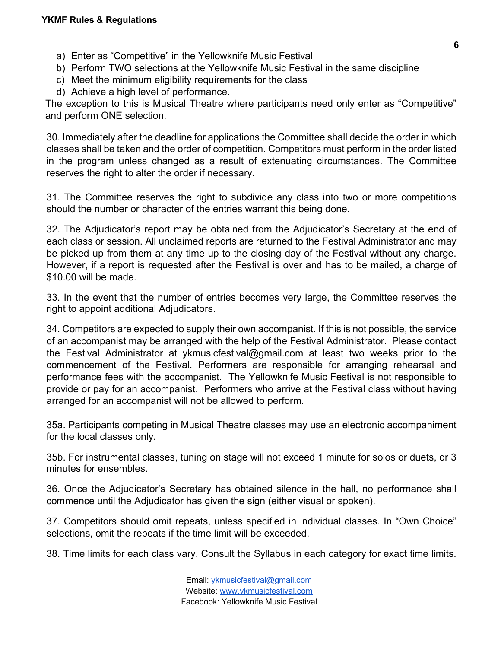- a) Enter as "Competitive" in the Yellowknife Music Festival
- b) Perform TWO selections at the Yellowknife Music Festival in the same discipline
- c) Meet the minimum eligibility requirements for the class
- d) Achieve a high level of performance.

The exception to this is Musical Theatre where participants need only enter as "Competitive" and perform ONE selection.

30. Immediately after the deadline for applications the Committee shall decide the order in which classes shall be taken and the order of competition. Competitors must perform in the order listed in the program unless changed as a result of extenuating circumstances. The Committee reserves the right to alter the order if necessary.

31. The Committee reserves the right to subdivide any class into two or more competitions should the number or character of the entries warrant this being done.

32. The Adjudicator's report may be obtained from the Adjudicator's Secretary at the end of each class or session. All unclaimed reports are returned to the Festival Administrator and may be picked up from them at any time up to the closing day of the Festival without any charge. However, if a report is requested after the Festival is over and has to be mailed, a charge of \$10.00 will be made.

33. In the event that the number of entries becomes very large, the Committee reserves the right to appoint additional Adjudicators.

34. Competitors are expected to supply their own accompanist. If this is not possible, the service of an accompanist may be arranged with the help of the Festival Administrator. Please contact the Festival Administrator at [ykmusicfestival@gmail.com a](mailto:ykmusicfestival@gmail.com)t least two weeks prior to the commencement of the Festival. Performers are responsible for arranging rehearsal and performance fees with the accompanist. The Yellowknife Music Festival is not responsible to provide or pay for an accompanist. Performers who arrive at the Festival class without having arranged for an accompanist will not be allowed to perform.

35a. Participants competing in Musical Theatre classes may use an electronic accompaniment for the local classes only.

35b. For instrumental classes, tuning on stage will not exceed 1 minute for solos or duets, or 3 minutes for ensembles.

36. Once the Adjudicator's Secretary has obtained silence in the hall, no performance shall commence until the Adjudicator has given the sign (either visual or spoken).

37. Competitors should omit repeats, unless specified in individual classes. In "Own Choice" selections, omit the repeats if the time limit will be exceeded.

38. Time limits for each class vary. Consult the Syllabus in each category for exact time limits.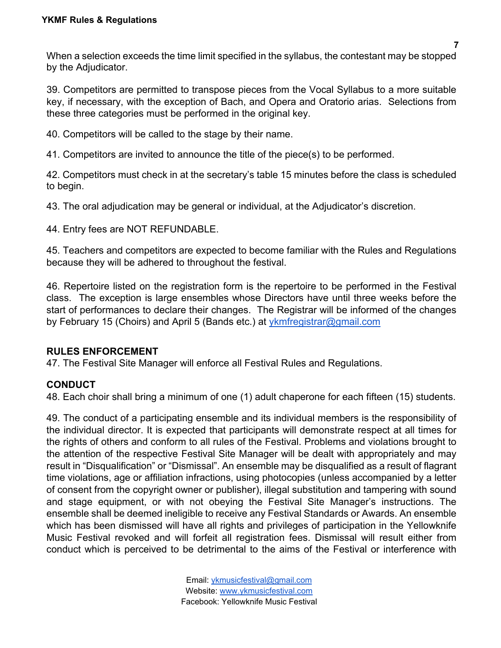When a selection exceeds the time limit specified in the syllabus, the contestant may be stopped by the Adjudicator.

39. Competitors are permitted to transpose pieces from the Vocal Syllabus to a more suitable key, if necessary, with the exception of Bach, and Opera and Oratorio arias. Selections from these three categories must be performed in the original key.

40. Competitors will be called to the stage by their name.

41. Competitors are invited to announce the title of the piece(s) to be performed.

42. Competitors must check in at the secretary's table 15 minutes before the class is scheduled to begin.

43. The oral adjudication may be general or individual, at the Adjudicator's discretion.

44. Entry fees are NOT REFUNDABLE.

45. Teachers and competitors are expected to become familiar with the Rules and Regulations because they will be adhered to throughout the festival.

46. Repertoire listed on the registration form is the repertoire to be performed in the Festival class. The exception is large ensembles whose Directors have until three weeks before the start of performances to declare their changes. The Registrar will be informed of the changes by February 15 (Choirs) and April 5 (Bands etc.) at *ykmfregistrar@gmail.com* 

#### **RULES ENFORCEMENT**

47. The Festival Site Manager will enforce all Festival Rules and Regulations.

#### **CONDUCT**

48. Each choir shall bring a minimum of one (1) adult chaperone for each fifteen (15) students.

49. The conduct of a participating ensemble and its individual members is the responsibility of the individual director. It is expected that participants will demonstrate respect at all times for the rights of others and conform to all rules of the Festival. Problems and violations brought to the attention of the respective Festival Site Manager will be dealt with appropriately and may result in "Disqualification" or "Dismissal". An ensemble may be disqualified as a result of flagrant time violations, age or affiliation infractions, using photocopies (unless accompanied by a letter of consent from the copyright owner or publisher), illegal substitution and tampering with sound and stage equipment, or with not obeying the Festival Site Manager's instructions. The ensemble shall be deemed ineligible to receive any Festival Standards or Awards. An ensemble which has been dismissed will have all rights and privileges of participation in the Yellowknife Music Festival revoked and will forfeit all registration fees. Dismissal will result either from conduct which is perceived to be detrimental to the aims of the Festival or interference with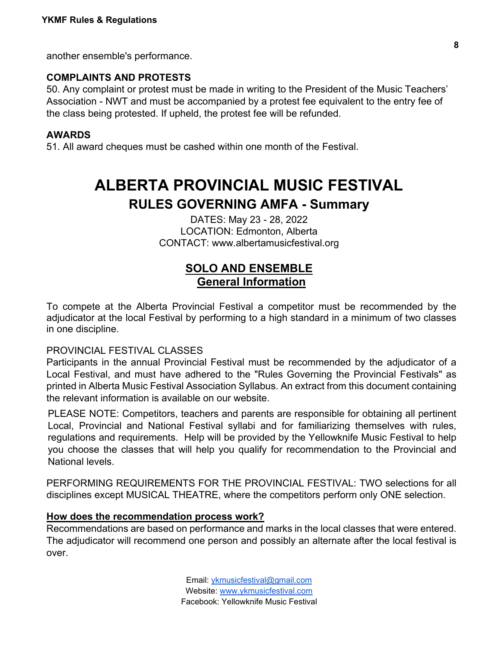another ensemble's performance.

#### **COMPLAINTS AND PROTESTS**

50. Any complaint or protest must be made in writing to the President of the Music Teachers' Association - NWT and must be accompanied by a protest fee equivalent to the entry fee of the class being protested. If upheld, the protest fee will be refunded.

#### **AWARDS**

51. All award cheques must be cashed within one month of the Festival.

## **ALBERTA PROVINCIAL MUSIC FESTIVAL RULES GOVERNING AMFA - Summary**

DATES: May 23 - 28, 2022 LOCATION: Edmonton, Alberta CONTACT: [www.albertamusicfestival.org](http://www.albertamusicfestival.org/)

#### **SOLO AND ENSEMBLE General Information**

To compete at the Alberta Provincial Festival a competitor must be recommended by the adjudicator at the local Festival by performing to a high standard in a minimum of two classes in one discipline.

#### PROVINCIAL FESTIVAL CLASSES

Participants in the annual Provincial Festival must be recommended by the adjudicator of a Local Festival, and must have adhered to the "Rules Governing the Provincial Festivals" as printed in Alberta Music Festival Association Syllabus. An extract from this document containing the relevant information is available on our website.

PLEASE NOTE: Competitors, teachers and parents are responsible for obtaining all pertinent Local, Provincial and National Festival syllabi and for familiarizing themselves with rules, regulations and requirements. Help will be provided by the Yellowknife Music Festival to help you choose the classes that will help you qualify for recommendation to the Provincial and National levels.

PERFORMING REQUIREMENTS FOR THE PROVINCIAL FESTIVAL: TWO selections for all disciplines except MUSICAL THEATRE, where the competitors perform only ONE selection.

#### **How does the recommendation process work?**

Recommendations are based on performance and marks in the local classes that were entered. The adjudicator will recommend one person and possibly an alternate after the local festival is over.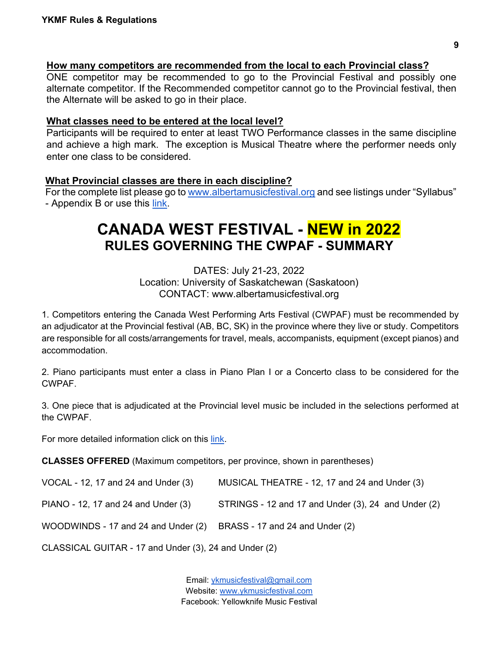#### **How many competitors are recommended from the local to each Provincial class?**

ONE competitor may be recommended to go to the Provincial Festival and possibly one alternate competitor. If the Recommended competitor cannot go to the Provincial festival, then the Alternate will be asked to go in their place.

#### **What classes need to be entered at the local level?**

Participants will be required to enter at least TWO Performance classes in the same discipline and achieve a high mark. The exception is Musical Theatre where the performer needs only enter one class to be considered.

#### **What Provincial classes are there in each discipline?**

For the complete list please go to [www.albertamusicfestival.org](http://www.albertamusicfestival.org/) and see listings under "Syllabus" - Appendix B or use this [link.](https://f9ffd267-2112-4fc9-be8b-a8948106f62a.filesusr.com/ugd/c78996_e60d04f58b29456aa27b13c5d38de460.pdf)

### **CANADA WEST FESTIVAL - NEW in 2022 RULES GOVERNING THE CWPAF - SUMMARY**

DATES: July 21-23, 2022 Location: University of Saskatchewan (Saskatoon) CONTACT: [www.albertamusicfestival.org](http://www.albertamusicfestival.org/)

1. Competitors entering the Canada West Performing Arts Festival (CWPAF) must be recommended by an adjudicator at the Provincial festival (AB, BC, SK) in the province where they live or study. Competitors are responsible for all costs/arrangements for travel, meals, accompanists, equipment (except pianos) and accommodation.

2. Piano participants must enter a class in Piano Plan I or a Concerto class to be considered for the CWPAF.

3. One piece that is adjudicated at the Provincial level music be included in the selections performed at the CWPAF.

For more detailed information click on this [link.](https://f9ffd267-2112-4fc9-be8b-a8948106f62a.filesusr.com/ugd/c78996_354a7340288f4a65b6200aeab4f57663.pdf)

**CLASSES OFFERED** (Maximum competitors, per province, shown in parentheses)

| VOCAL - 12, 17 and 24 and Under (3) | MUSICAL THEATRE - 12, 17 and 24 and Under (3)       |
|-------------------------------------|-----------------------------------------------------|
| PIANO - 12, 17 and 24 and Under (3) | STRINGS - 12 and 17 and Under (3), 24 and Under (2) |
| WOODWINDS - 17 and 24 and Under (2) | BRASS - 17 and 24 and Under (2)                     |
|                                     |                                                     |

CLASSICAL GUITAR - 17 and Under (3), 24 and Under (2)